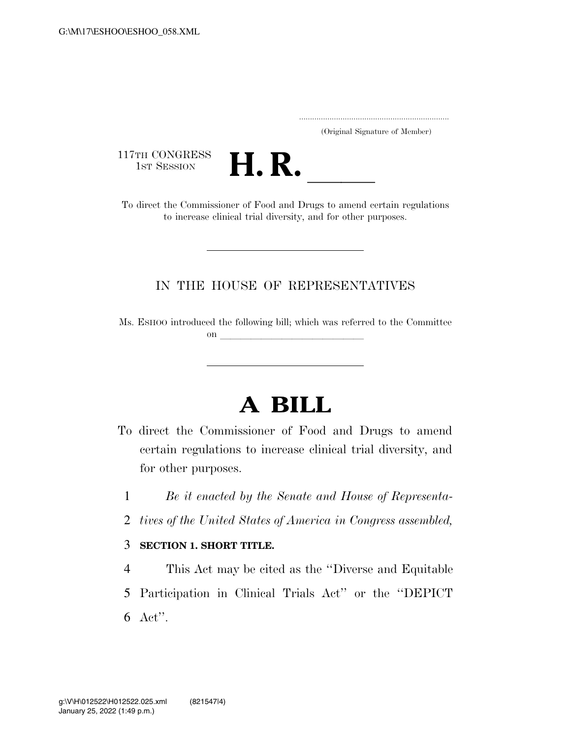..................................................................... (Original Signature of Member)

117TH CONGRESS<br>1st Session



17TH CONGRESS<br>1st SESSION<br>To direct the Commissioner of Food and Drugs to amend certain regulations to increase clinical trial diversity, and for other purposes.

## IN THE HOUSE OF REPRESENTATIVES

Ms. ESHOO introduced the following bill; which was referred to the Committee on  $\overline{\qquad \qquad }$ 

# **A BILL**

- To direct the Commissioner of Food and Drugs to amend certain regulations to increase clinical trial diversity, and for other purposes.
	- 1 *Be it enacted by the Senate and House of Representa-*
	- 2 *tives of the United States of America in Congress assembled,*

### 3 **SECTION 1. SHORT TITLE.**

4 This Act may be cited as the ''Diverse and Equitable 5 Participation in Clinical Trials Act'' or the ''DEPICT 6 Act''.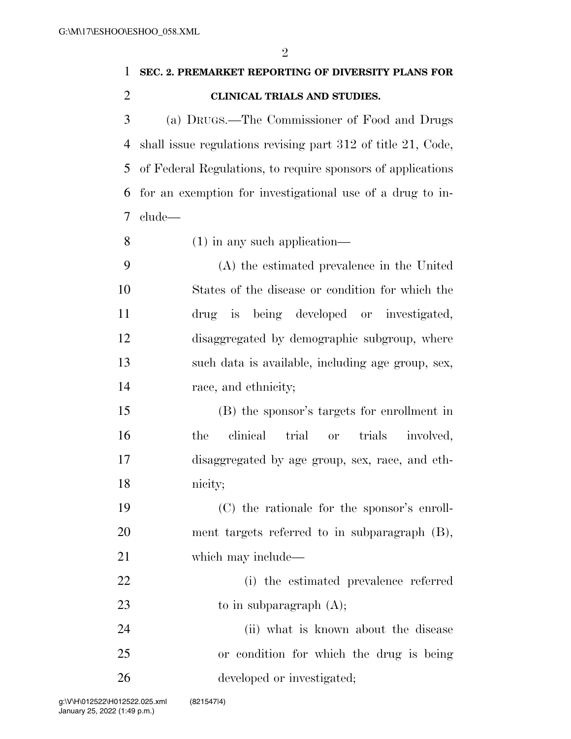$\Omega$ 

|                | $\mathcal{V}$                                                |
|----------------|--------------------------------------------------------------|
| 1              | SEC. 2. PREMARKET REPORTING OF DIVERSITY PLANS FOR           |
| $\overline{2}$ | CLINICAL TRIALS AND STUDIES.                                 |
| 3              | (a) DRUGS.—The Commissioner of Food and Drugs                |
| 4              | shall issue regulations revising part 312 of title 21, Code, |
| 5              | of Federal Regulations, to require sponsors of applications  |
| 6              | for an exemption for investigational use of a drug to in-    |
| 7              | clude—                                                       |
| 8              | $(1)$ in any such application—                               |
| 9              | (A) the estimated prevalence in the United                   |
| 10             | States of the disease or condition for which the             |
| 11             | is being developed or investigated,<br>drug                  |
| 12             | disaggregated by demographic subgroup, where                 |
| 13             | such data is available, including age group, sex,            |
| 14             | race, and ethnicity;                                         |
| 15             | (B) the sponsor's targets for enrollment in                  |
| 16             | clinical<br>trial<br>trials<br>the<br>involved,<br><b>or</b> |
| 17             | disaggregated by age group, sex, race, and eth-              |
| 18             | nicity;                                                      |
| 19             | (C) the rationale for the sponsor's enroll-                  |
| <b>20</b>      | ment targets referred to in subparagraph (B),                |
| 21             | which may include—                                           |
| 22             | (i) the estimated prevalence referred                        |
| 23             | to in subparagraph $(A)$ ;                                   |
| 24             | (ii) what is known about the disease                         |
| 25             | or condition for which the drug is being                     |
| 26             | developed or investigated;                                   |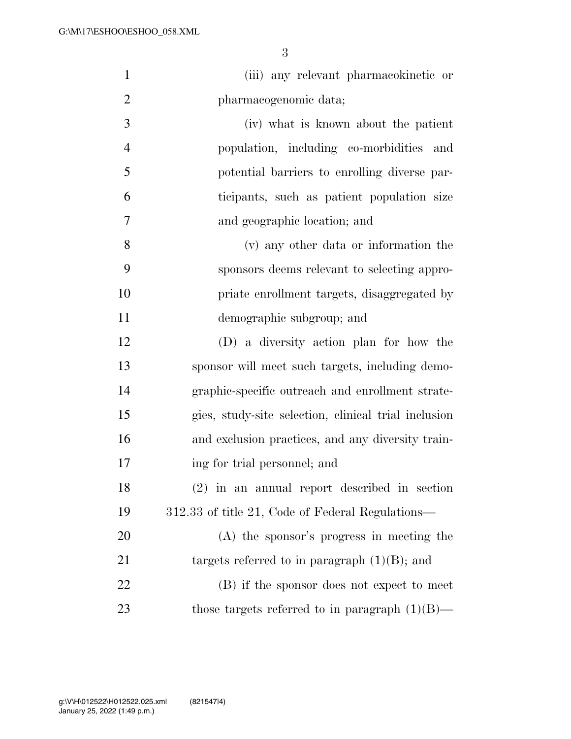| $\mathbf{1}$   | (iii) any relevant pharmacokinetic or                |
|----------------|------------------------------------------------------|
| $\overline{2}$ | pharmacogenomic data;                                |
| 3              | (iv) what is known about the patient                 |
| $\overline{4}$ | population, including co-morbidities and             |
| 5              | potential barriers to enrolling diverse par-         |
| 6              | ticipants, such as patient population size           |
| 7              | and geographic location; and                         |
| 8              | (v) any other data or information the                |
| 9              | sponsors deems relevant to selecting appro-          |
| 10             | priate enrollment targets, disaggregated by          |
| 11             | demographic subgroup; and                            |
| 12             | (D) a diversity action plan for how the              |
| 13             | sponsor will meet such targets, including demo-      |
| 14             | graphic-specific outreach and enrollment strate-     |
| 15             | gies, study-site selection, clinical trial inclusion |
| 16             | and exclusion practices, and any diversity train-    |
| 17             | ing for trial personnel; and                         |
| 18             | $(2)$ in an annual report described in section       |
| 19             | 312.33 of title 21, Code of Federal Regulations—     |
| 20             | (A) the sponsor's progress in meeting the            |
| 21             | targets referred to in paragraph $(1)(B)$ ; and      |
| 22             | (B) if the sponsor does not expect to meet           |
| 23             | those targets referred to in paragraph $(1)(B)$ —    |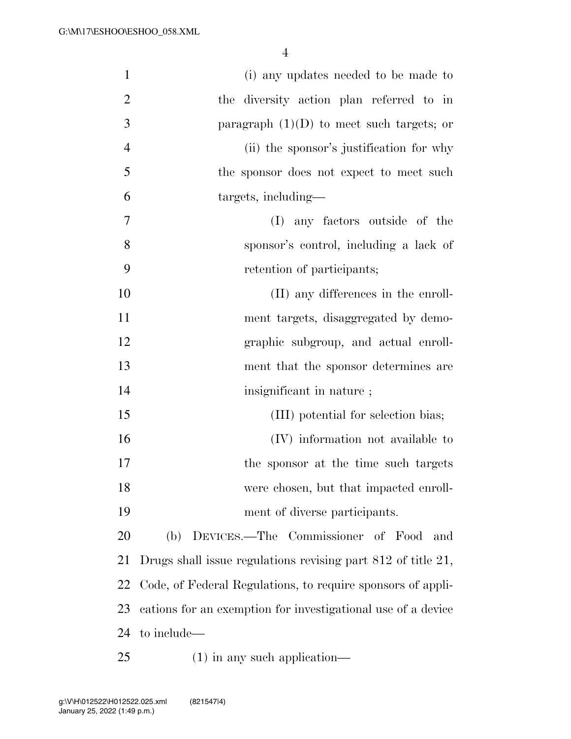| $\mathbf{1}$   | (i) any updates needed to be made to                         |
|----------------|--------------------------------------------------------------|
| $\overline{2}$ | the diversity action plan referred to in                     |
| 3              | paragraph $(1)(D)$ to meet such targets; or                  |
| $\overline{4}$ | (ii) the sponsor's justification for why                     |
| 5              | the sponsor does not expect to meet such                     |
| 6              | targets, including-                                          |
| $\overline{7}$ | (I) any factors outside of the                               |
| 8              | sponsor's control, including a lack of                       |
| 9              | retention of participants;                                   |
| 10             | (II) any differences in the enroll-                          |
| 11             | ment targets, disaggregated by demo-                         |
| 12             | graphic subgroup, and actual enroll-                         |
| 13             | ment that the sponsor determines are                         |
| 14             | insignificant in nature;                                     |
| 15             | (III) potential for selection bias;                          |
| 16             | (IV) information not available to                            |
| 17             | the sponsor at the time such targets                         |
| 18             | were chosen, but that impacted enroll-                       |
| 19             | ment of diverse participants.                                |
| 20             | (b) DEVICES.—The Commissioner of Food<br>and                 |
| 21             | Drugs shall issue regulations revising part 812 of title 21, |
| 22             | Code, of Federal Regulations, to require sponsors of appli-  |
| 23             | cations for an exemption for investigational use of a device |
| 24             | to include—                                                  |
| 25             | $(1)$ in any such application—                               |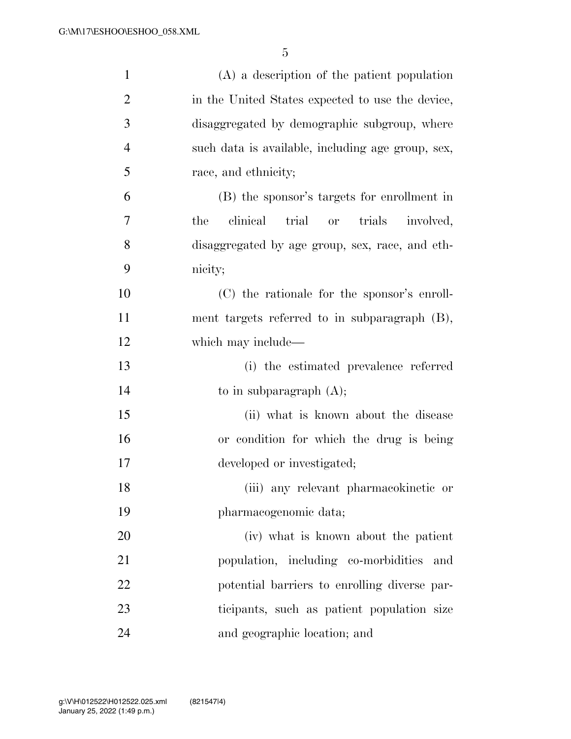| $\mathbf{1}$   | $(A)$ a description of the patient population                |
|----------------|--------------------------------------------------------------|
| $\overline{2}$ | in the United States expected to use the device,             |
| 3              | disaggregated by demographic subgroup, where                 |
| $\overline{4}$ | such data is available, including age group, sex,            |
| 5              | race, and ethnicity;                                         |
| 6              | (B) the sponsor's targets for enrollment in                  |
| 7              | clinical<br>the<br>trial<br>trials<br>involved,<br><b>or</b> |
| 8              | disaggregated by age group, sex, race, and eth-              |
| 9              | nicity;                                                      |
| 10             | (C) the rationale for the sponsor's enroll-                  |
| 11             | ment targets referred to in subparagraph (B),                |
| 12             | which may include—                                           |
| 13             | (i) the estimated prevalence referred                        |
| 14             | to in subparagraph $(A)$ ;                                   |
| 15             | (ii) what is known about the disease                         |
| 16             | or condition for which the drug is being                     |
| 17             | developed or investigated;                                   |
| 18             | (iii) any relevant pharmacokinetic or                        |
| 19             | pharmacogenomic data;                                        |
| 20             | (iv) what is known about the patient                         |
| 21             | population, including co-morbidities<br>and                  |
| 22             | potential barriers to enrolling diverse par-                 |
| 23             | ticipants, such as patient population size                   |
| 24             | and geographic location; and                                 |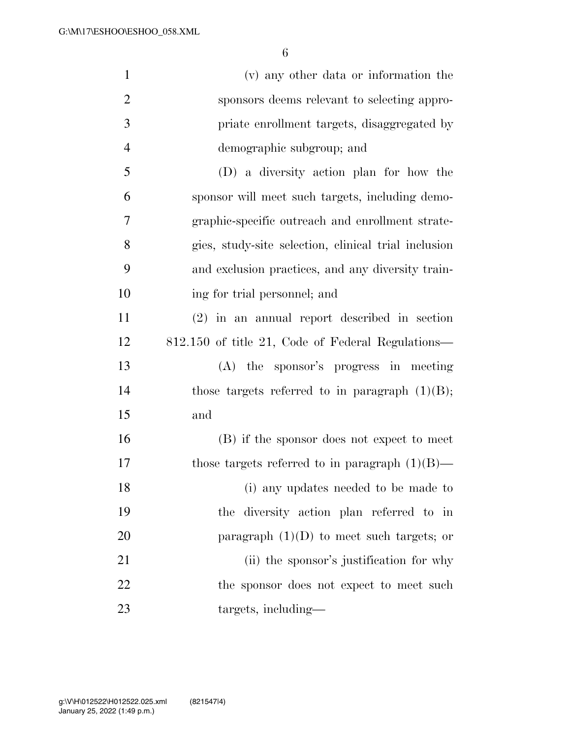| $\mathbf{1}$   | (v) any other data or information the                |
|----------------|------------------------------------------------------|
| $\overline{2}$ | sponsors deems relevant to selecting appro-          |
| 3              | priate enrollment targets, disaggregated by          |
| $\overline{4}$ | demographic subgroup; and                            |
| 5              | (D) a diversity action plan for how the              |
| 6              | sponsor will meet such targets, including demo-      |
| $\tau$         | graphic-specific outreach and enrollment strate-     |
| 8              | gies, study-site selection, clinical trial inclusion |
| 9              | and exclusion practices, and any diversity train-    |
| 10             | ing for trial personnel; and                         |
| 11             | $(2)$ in an annual report described in section       |
| 12             | 812.150 of title 21, Code of Federal Regulations—    |
| 13             | (A) the sponsor's progress in meeting                |
| 14             | those targets referred to in paragraph $(1)(B)$ ;    |
| 15             | and                                                  |
| 16             | (B) if the sponsor does not expect to meet           |
| 17             | those targets referred to in paragraph $(1)(B)$ —    |
| 18             | (i) any updates needed to be made to                 |
| 19             | the diversity action plan referred to in             |
| 20             | paragraph $(1)(D)$ to meet such targets; or          |
| 21             | (ii) the sponsor's justification for why             |
| 22             | the sponsor does not expect to meet such             |
| 23             | targets, including—                                  |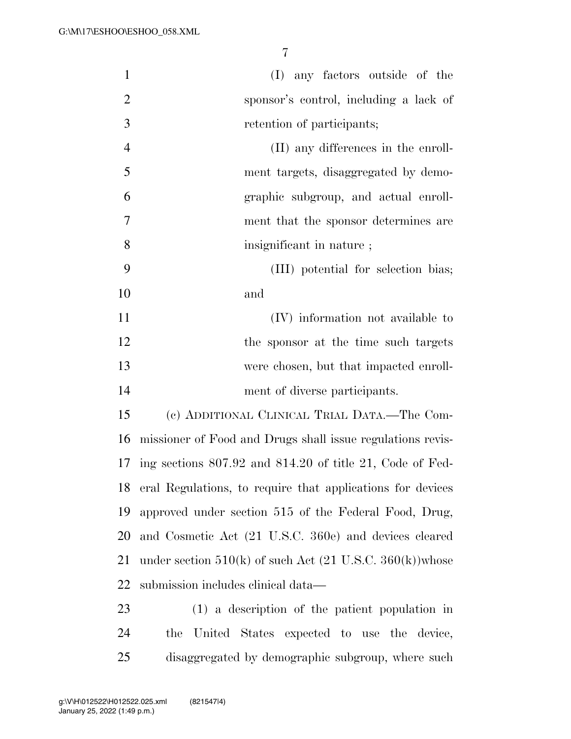| $\mathbf{1}$   | (I) any factors outside of the                                         |  |  |  |  |  |  |  |
|----------------|------------------------------------------------------------------------|--|--|--|--|--|--|--|
| $\overline{2}$ | sponsor's control, including a lack of                                 |  |  |  |  |  |  |  |
| 3              | retention of participants;                                             |  |  |  |  |  |  |  |
| $\overline{4}$ | (II) any differences in the enroll-                                    |  |  |  |  |  |  |  |
| 5              | ment targets, disaggregated by demo-                                   |  |  |  |  |  |  |  |
| 6              | graphic subgroup, and actual enroll-                                   |  |  |  |  |  |  |  |
| 7              | ment that the sponsor determines are                                   |  |  |  |  |  |  |  |
| 8              | insignificant in nature;                                               |  |  |  |  |  |  |  |
| 9              | (III) potential for selection bias;                                    |  |  |  |  |  |  |  |
| 10             | and                                                                    |  |  |  |  |  |  |  |
| 11             | (IV) information not available to                                      |  |  |  |  |  |  |  |
| 12             | the sponsor at the time such targets                                   |  |  |  |  |  |  |  |
| 13             | were chosen, but that impacted enroll-                                 |  |  |  |  |  |  |  |
| 14             | ment of diverse participants.                                          |  |  |  |  |  |  |  |
| 15             | (c) ADDITIONAL CLINICAL TRIAL DATA.—The Com-                           |  |  |  |  |  |  |  |
| 16             | missioner of Food and Drugs shall issue regulations revis-             |  |  |  |  |  |  |  |
| 17             | ing sections $807.92$ and $814.20$ of title 21, Code of Fed-           |  |  |  |  |  |  |  |
| 18             | eral Regulations, to require that applications for devices             |  |  |  |  |  |  |  |
| 19             | approved under section 515 of the Federal Food, Drug,                  |  |  |  |  |  |  |  |
| 20             | and Cosmetic Act (21 U.S.C. 360e) and devices cleared                  |  |  |  |  |  |  |  |
| 21             | under section $510(k)$ of such Act $(21 \text{ U.S.C. } 360(k))$ whose |  |  |  |  |  |  |  |
| 22             | submission includes clinical data—                                     |  |  |  |  |  |  |  |
| 23             | (1) a description of the patient population in                         |  |  |  |  |  |  |  |
| 24             | United States expected to use the device,<br>the                       |  |  |  |  |  |  |  |

disaggregated by demographic subgroup, where such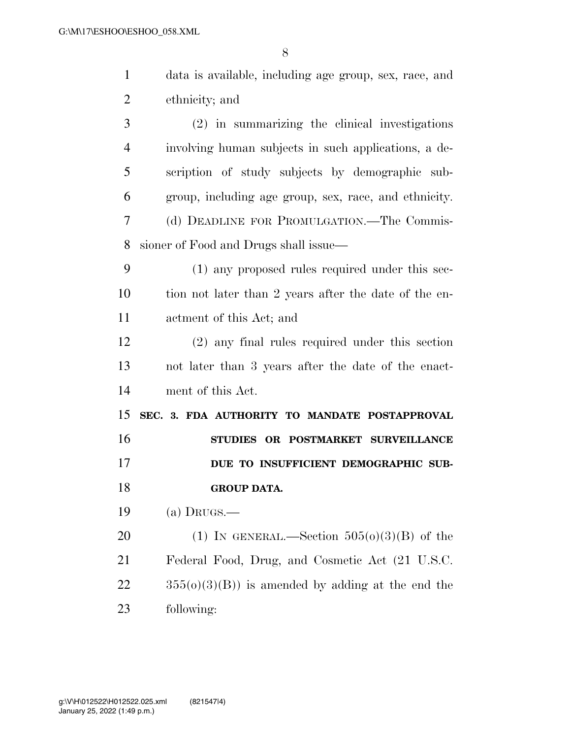| $\mathbf{1}$   | data is available, including age group, sex, race, and |
|----------------|--------------------------------------------------------|
| $\overline{2}$ | ethnicity; and                                         |
| 3              | (2) in summarizing the clinical investigations         |
| $\overline{4}$ | involving human subjects in such applications, a de-   |
| 5              | scription of study subjects by demographic sub-        |
| 6              | group, including age group, sex, race, and ethnicity.  |
| 7              | (d) DEADLINE FOR PROMULGATION.—The Commis-             |
| 8              | sioner of Food and Drugs shall issue-                  |
| 9              | (1) any proposed rules required under this sec-        |
| 10             | tion not later than 2 years after the date of the en-  |
| 11             | actment of this Act; and                               |
| 12             | $(2)$ any final rules required under this section      |
| 13             | not later than 3 years after the date of the enact-    |
| 14             | ment of this Act.                                      |
| 15             | SEC. 3. FDA AUTHORITY TO MANDATE POSTAPPROVAL          |
| 16             | STUDIES OR POSTMARKET SURVEILLANCE                     |
| 17             | DUE TO INSUFFICIENT DEMOGRAPHIC SUB-                   |
| 18             | <b>GROUP DATA.</b>                                     |
| 19             | (a) DRUGS.—                                            |
| 20             | (1) IN GENERAL.—Section $505(0)(3)(B)$ of the          |
| 21             | Federal Food, Drug, and Cosmetic Act (21 U.S.C.        |
| 22             | $355(0)(3)(B)$ is amended by adding at the end the     |
| 23             | following:                                             |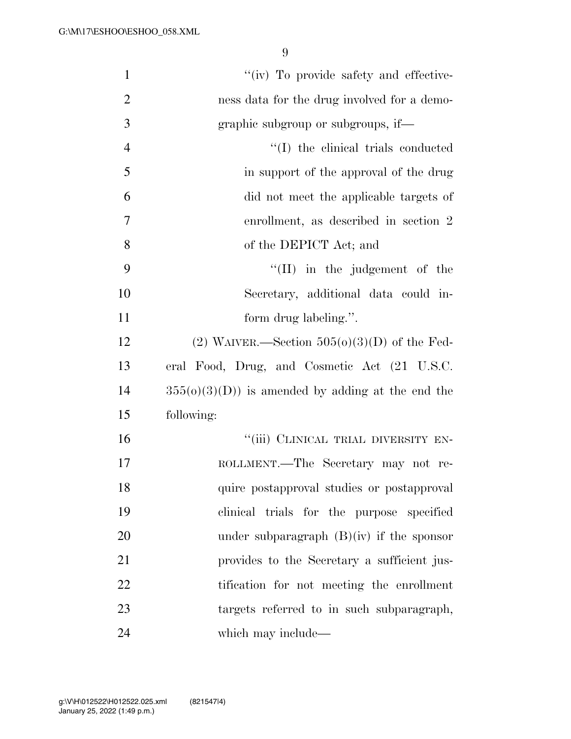| $\mathbf{1}$   | "(iv) To provide safety and effective-             |
|----------------|----------------------------------------------------|
| $\overline{2}$ | ness data for the drug involved for a demo-        |
| 3              | graphic subgroup or subgroups, if—                 |
| $\overline{4}$ | "(I) the clinical trials conducted                 |
| 5              | in support of the approval of the drug             |
| 6              | did not meet the applicable targets of             |
| 7              | enrollment, as described in section 2              |
| 8              | of the DEPICT Act; and                             |
| 9              | $\lq\lq$ (II) in the judgement of the              |
| 10             | Secretary, additional data could in-               |
| 11             | form drug labeling.".                              |
| 12             | (2) WAIVER.—Section $505(0)(3)(D)$ of the Fed-     |
| 13             | eral Food, Drug, and Cosmetic Act (21 U.S.C.       |
| 14             | $355(0)(3)(D)$ is amended by adding at the end the |
| 15             | following:                                         |
| 16             | "(iii) CLINICAL TRIAL DIVERSITY EN-                |
| 17             | ROLLMENT.—The Secretary may not re-                |
| 18             | quire postapproval studies or postapproval         |
| 19             | clinical trials for the purpose specified          |
| 20             | under subparagraph $(B)(iv)$ if the sponsor        |
| 21             | provides to the Secretary a sufficient jus-        |
| 22             | tification for not meeting the enrollment          |
| 23             | targets referred to in such subparagraph,          |
| 24             | which may include—                                 |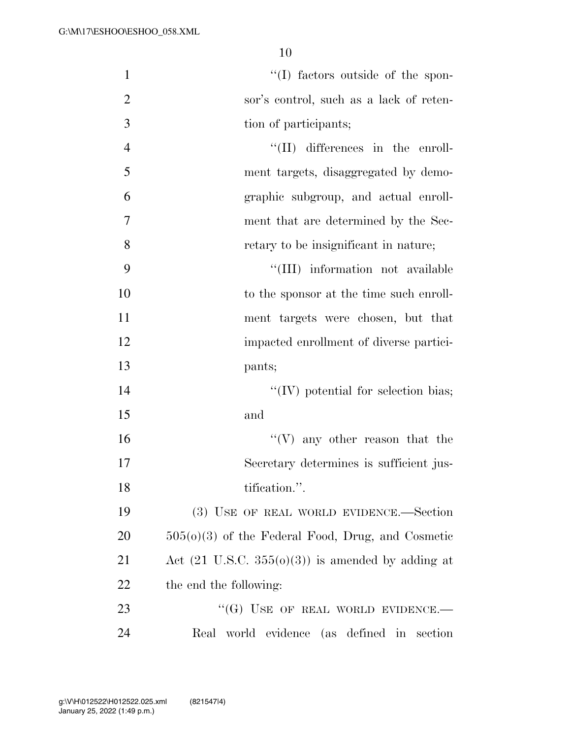| $\mathbf{1}$   | "(I) factors outside of the spon-                            |
|----------------|--------------------------------------------------------------|
| $\overline{2}$ | sor's control, such as a lack of reten-                      |
| 3              | tion of participants;                                        |
| $\overline{4}$ | $\lq\lq$ (II) differences in the enroll-                     |
| 5              | ment targets, disaggregated by demo-                         |
| 6              | graphic subgroup, and actual enroll-                         |
| 7              | ment that are determined by the Sec-                         |
| 8              | retary to be insignificant in nature;                        |
| 9              | "(III) information not available                             |
| 10             | to the sponsor at the time such enroll-                      |
| 11             | ment targets were chosen, but that                           |
| 12             | impacted enrollment of diverse partici-                      |
| 13             | pants;                                                       |
| 14             | $\lq\lq$ (IV) potential for selection bias;                  |
| 15             | and                                                          |
| 16             | $\lq\lq(V)$ any other reason that the                        |
| 17             | Secretary determines is sufficient jus-                      |
| 18             | tification.".                                                |
| 19             | (3) USE OF REAL WORLD EVIDENCE.—Section                      |
| 20             | $505(0)(3)$ of the Federal Food, Drug, and Cosmetic          |
| 21             | Act $(21 \text{ U.S.C. } 355(0)(3))$ is amended by adding at |
| 22             | the end the following:                                       |
| 23             | "(G) USE OF REAL WORLD EVIDENCE.—                            |
| 24             | Real world evidence (as defined in section                   |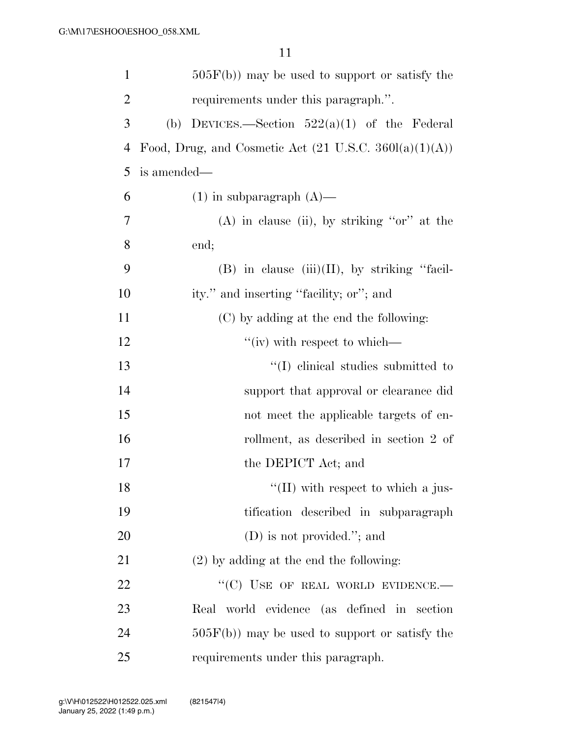| $\mathbf{1}$   | $505F(b)$ may be used to support or satisfy the                   |  |  |  |  |  |  |
|----------------|-------------------------------------------------------------------|--|--|--|--|--|--|
| $\overline{2}$ | requirements under this paragraph.".                              |  |  |  |  |  |  |
| 3              | DEVICES.—Section $522(a)(1)$ of the Federal<br>(b)                |  |  |  |  |  |  |
| 4              | Food, Drug, and Cosmetic Act $(21 \text{ U.S.C. } 360l(a)(1)(A))$ |  |  |  |  |  |  |
| 5              | is amended—                                                       |  |  |  |  |  |  |
| 6              | $(1)$ in subparagraph $(A)$ —                                     |  |  |  |  |  |  |
| 7              | $(A)$ in clause (ii), by striking "or" at the                     |  |  |  |  |  |  |
| 8              | end;                                                              |  |  |  |  |  |  |
| 9              | $(B)$ in clause $(iii)(II)$ , by striking "facil-                 |  |  |  |  |  |  |
| 10             | ity." and inserting "facility; or"; and                           |  |  |  |  |  |  |
| 11             | (C) by adding at the end the following:                           |  |  |  |  |  |  |
| 12             | "(iv) with respect to which—                                      |  |  |  |  |  |  |
| 13             | "(I) elinical studies submitted to                                |  |  |  |  |  |  |
| 14             | support that approval or clearance did                            |  |  |  |  |  |  |
| 15             | not meet the applicable targets of en-                            |  |  |  |  |  |  |
| 16             | rollment, as described in section 2 of                            |  |  |  |  |  |  |
| 17             | the DEPICT Act; and                                               |  |  |  |  |  |  |
| 18             | $\lq\lq$ (II) with respect to which a jus-                        |  |  |  |  |  |  |
| 19             | tification described in subparagraph                              |  |  |  |  |  |  |
| 20             | $(D)$ is not provided."; and                                      |  |  |  |  |  |  |
| 21             | $(2)$ by adding at the end the following:                         |  |  |  |  |  |  |
| 22             | "(C) USE OF REAL WORLD EVIDENCE.-                                 |  |  |  |  |  |  |
| 23             | Real world evidence (as defined in section                        |  |  |  |  |  |  |
| 24             | $505F(b)$ may be used to support or satisfy the                   |  |  |  |  |  |  |
| 25             | requirements under this paragraph.                                |  |  |  |  |  |  |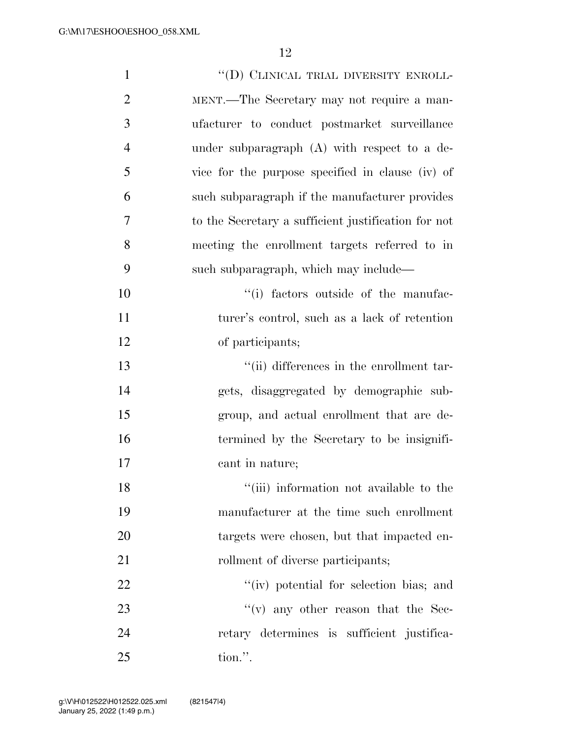| $\mathbf{1}$   | "(D) CLINICAL TRIAL DIVERSITY ENROLL-               |
|----------------|-----------------------------------------------------|
| $\overline{2}$ | MENT.—The Secretary may not require a man-          |
| 3              | ufacturer to conduct postmarket surveillance        |
| $\overline{4}$ | under subparagraph (A) with respect to a de-        |
| 5              | vice for the purpose specified in clause (iv) of    |
| 6              | such subparagraph if the manufacturer provides      |
| $\overline{7}$ | to the Secretary a sufficient justification for not |
| 8              | meeting the enrollment targets referred to in       |
| 9              | such subparagraph, which may include—               |
| 10             | "(i) factors outside of the manufac-                |
| 11             | turer's control, such as a lack of retention        |
| 12             | of participants;                                    |
| 13             | "(ii) differences in the enrollment tar-            |
| 14             | gets, disaggregated by demographic sub-             |
| 15             | group, and actual enrollment that are de-           |
| 16             | termined by the Secretary to be insignifi-          |
| 17             | cant in nature;                                     |
| 18             | "(iii) information not available to the             |
| 19             | manufacturer at the time such enrollment            |
| 20             | targets were chosen, but that impacted en-          |
| 21             | rollment of diverse participants;                   |
| 22             | "(iv) potential for selection bias; and             |
| 23             | "(v) any other reason that the Sec-                 |
| 24             | retary determines is sufficient justifica-          |
| 25             | tion.".                                             |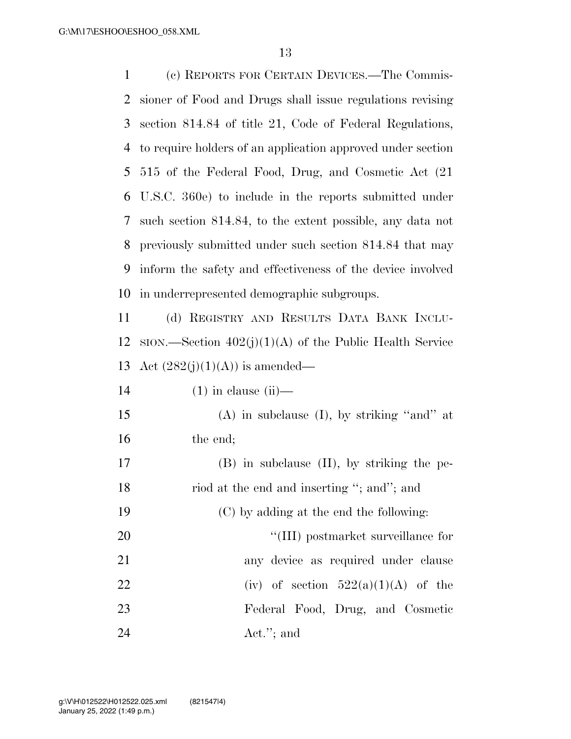(c) REPORTS FOR CERTAIN DEVICES.—The Commis- sioner of Food and Drugs shall issue regulations revising section 814.84 of title 21, Code of Federal Regulations, to require holders of an application approved under section 515 of the Federal Food, Drug, and Cosmetic Act (21 U.S.C. 360e) to include in the reports submitted under such section 814.84, to the extent possible, any data not previously submitted under such section 814.84 that may inform the safety and effectiveness of the device involved in underrepresented demographic subgroups.

 (d) REGISTRY AND RESULTS DATA BANK INCLU-12 SION.—Section  $402(j)(1)(A)$  of the Public Health Service 13 Act  $(282(j)(1)(A))$  is amended—

| 14 |  | $(1)$ in clause $(ii)$ — |  |
|----|--|--------------------------|--|
|    |  |                          |  |

 (A) in subclause (I), by striking ''and'' at 16 the end;

 (B) in subclause (II), by striking the pe-18 riod at the end and inserting "; and"; and (C) by adding at the end the following:  $\frac{1}{20}$  (III) postmarket surveillance for any device as required under clause 22 (iv) of section  $522(a)(1)(A)$  of the Federal Food, Drug, and Cosmetic Act.''; and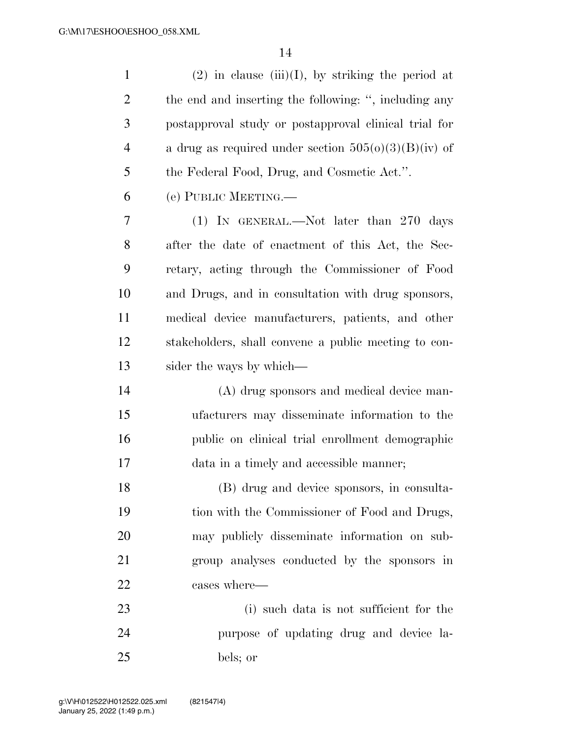1 (2) in clause (iii)(I), by striking the period at the end and inserting the following: '', including any postapproval study or postapproval clinical trial for 4 a drug as required under section  $505(0)(3)(B)(iv)$  of the Federal Food, Drug, and Cosmetic Act.''. (e) PUBLIC MEETING.— (1) IN GENERAL.—Not later than 270 days after the date of enactment of this Act, the Sec- retary, acting through the Commissioner of Food and Drugs, and in consultation with drug sponsors, medical device manufacturers, patients, and other stakeholders, shall convene a public meeting to con- sider the ways by which— (A) drug sponsors and medical device man- ufacturers may disseminate information to the public on clinical trial enrollment demographic data in a timely and accessible manner;

 (B) drug and device sponsors, in consulta- tion with the Commissioner of Food and Drugs, may publicly disseminate information on sub- group analyses conducted by the sponsors in cases where—

 (i) such data is not sufficient for the purpose of updating drug and device la-bels; or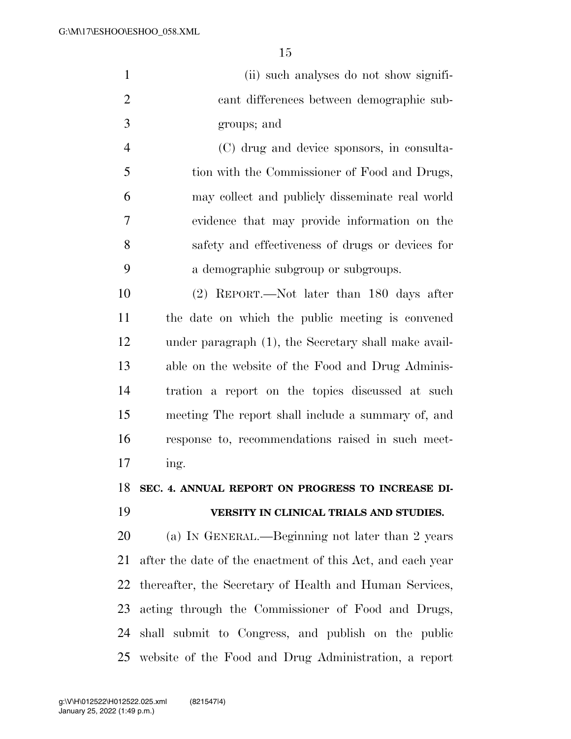|   | (ii) such analyses do not show signifi-       |
|---|-----------------------------------------------|
| 2 | cant differences between demographic sub-     |
| 3 | groups; and                                   |
|   | (C) drug and device sponsors, in consulta-    |
|   | tion with the Commissioner of Food and Drugs, |

 may collect and publicly disseminate real world evidence that may provide information on the safety and effectiveness of drugs or devices for a demographic subgroup or subgroups.

 (2) REPORT.—Not later than 180 days after the date on which the public meeting is convened under paragraph (1), the Secretary shall make avail- able on the website of the Food and Drug Adminis- tration a report on the topics discussed at such meeting The report shall include a summary of, and response to, recommendations raised in such meet-ing.

**SEC. 4. ANNUAL REPORT ON PROGRESS TO INCREASE DI-**

## **VERSITY IN CLINICAL TRIALS AND STUDIES.**

 (a) IN GENERAL.—Beginning not later than 2 years after the date of the enactment of this Act, and each year thereafter, the Secretary of Health and Human Services, acting through the Commissioner of Food and Drugs, shall submit to Congress, and publish on the public website of the Food and Drug Administration, a report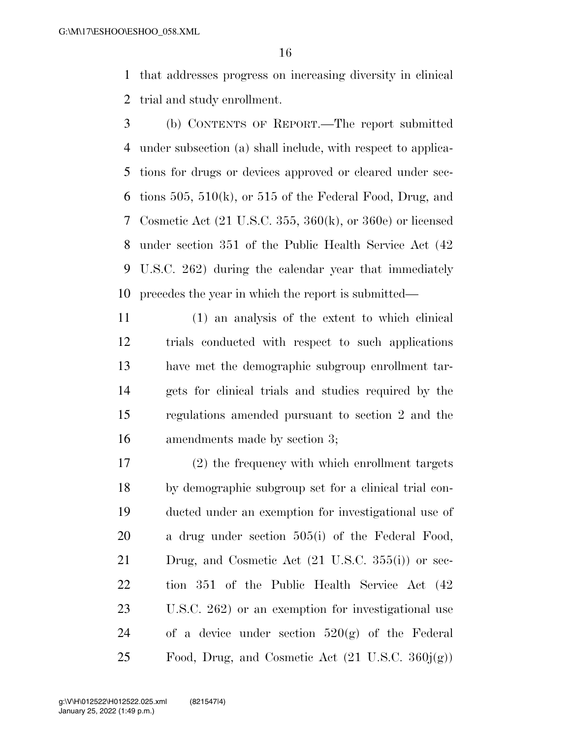that addresses progress on increasing diversity in clinical trial and study enrollment.

- (b) CONTENTS OF REPORT.—The report submitted under subsection (a) shall include, with respect to applica- tions for drugs or devices approved or cleared under sec-6 tions 505, 510 $(k)$ , or 515 of the Federal Food, Drug, and Cosmetic Act (21 U.S.C. 355, 360(k), or 360e) or licensed under section 351 of the Public Health Service Act (42 U.S.C. 262) during the calendar year that immediately precedes the year in which the report is submitted—
- (1) an analysis of the extent to which clinical trials conducted with respect to such applications have met the demographic subgroup enrollment tar- gets for clinical trials and studies required by the regulations amended pursuant to section 2 and the amendments made by section 3;
- (2) the frequency with which enrollment targets by demographic subgroup set for a clinical trial con- ducted under an exemption for investigational use of a drug under section 505(i) of the Federal Food, Drug, and Cosmetic Act (21 U.S.C. 355(i)) or sec- tion 351 of the Public Health Service Act (42 U.S.C. 262) or an exemption for investigational use 24 of a device under section  $520(g)$  of the Federal 25 Food, Drug, and Cosmetic Act  $(21 \text{ U.S.C. } 360\mathbf{i}(\mathbf{g}))$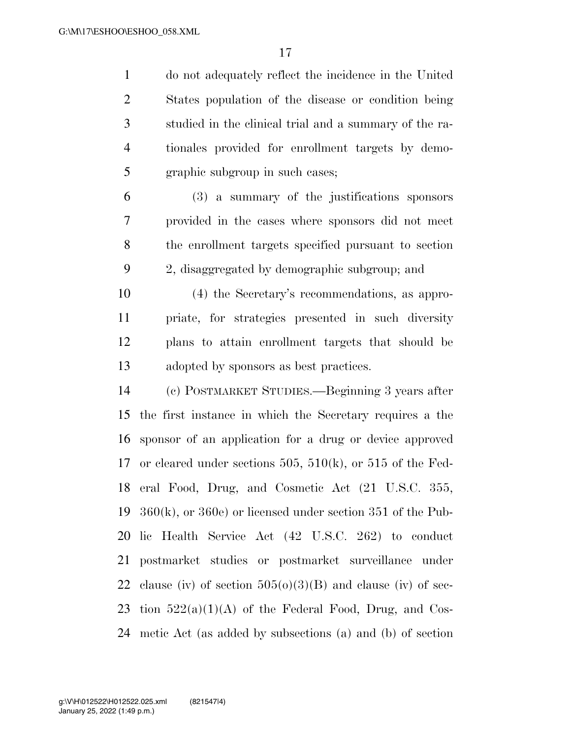do not adequately reflect the incidence in the United States population of the disease or condition being studied in the clinical trial and a summary of the ra- tionales provided for enrollment targets by demo-graphic subgroup in such cases;

 (3) a summary of the justifications sponsors provided in the cases where sponsors did not meet the enrollment targets specified pursuant to section 2, disaggregated by demographic subgroup; and

 (4) the Secretary's recommendations, as appro- priate, for strategies presented in such diversity plans to attain enrollment targets that should be adopted by sponsors as best practices.

 (c) POSTMARKET STUDIES.—Beginning 3 years after the first instance in which the Secretary requires a the sponsor of an application for a drug or device approved or cleared under sections 505, 510(k), or 515 of the Fed- eral Food, Drug, and Cosmetic Act (21 U.S.C. 355, 360(k), or 360e) or licensed under section 351 of the Pub- lic Health Service Act (42 U.S.C. 262) to conduct postmarket studies or postmarket surveillance under 22 clause (iv) of section  $505(0)(3)(B)$  and clause (iv) of sec-23 tion  $522(a)(1)(A)$  of the Federal Food, Drug, and Cos-metic Act (as added by subsections (a) and (b) of section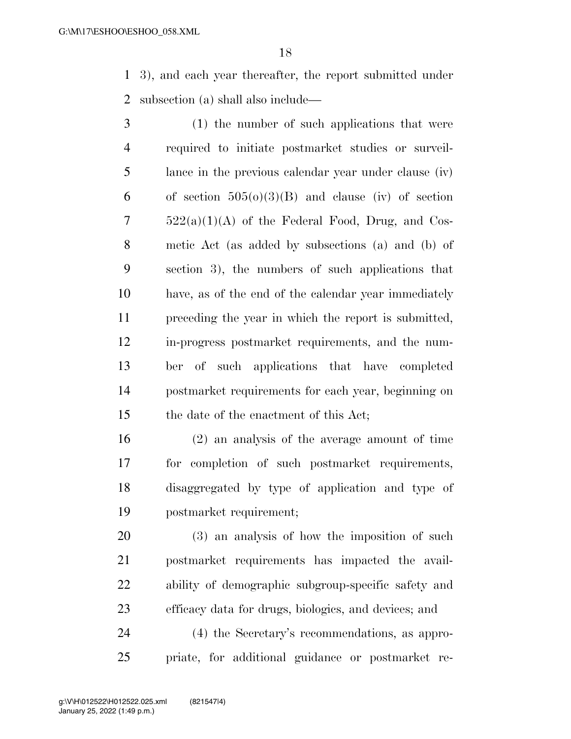3), and each year thereafter, the report submitted under subsection (a) shall also include—

 (1) the number of such applications that were required to initiate postmarket studies or surveil- lance in the previous calendar year under clause (iv) 6 of section  $505(0)(3)(B)$  and clause (iv) of section  $7 \qquad 522(a)(1)(A)$  of the Federal Food, Drug, and Cos- metic Act (as added by subsections (a) and (b) of section 3), the numbers of such applications that have, as of the end of the calendar year immediately preceding the year in which the report is submitted, in-progress postmarket requirements, and the num- ber of such applications that have completed postmarket requirements for each year, beginning on the date of the enactment of this Act;

 (2) an analysis of the average amount of time for completion of such postmarket requirements, disaggregated by type of application and type of postmarket requirement;

 (3) an analysis of how the imposition of such postmarket requirements has impacted the avail- ability of demographic subgroup-specific safety and efficacy data for drugs, biologics, and devices; and

 (4) the Secretary's recommendations, as appro-priate, for additional guidance or postmarket re-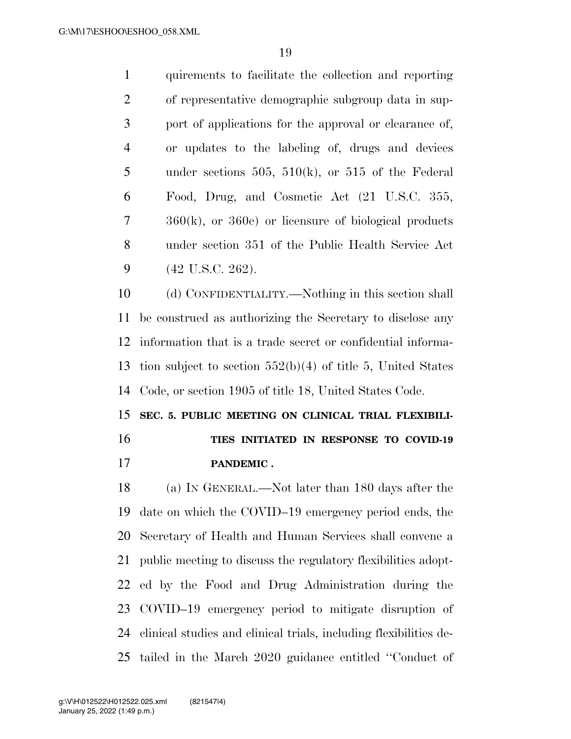| $\mathbf{1}$   | quirements to facilitate the collection and reporting    |
|----------------|----------------------------------------------------------|
| 2              | of representative demographic subgroup data in sup-      |
| 3              | port of applications for the approval or clearance of,   |
| $\overline{4}$ | or updates to the labeling of, drugs and devices         |
| 5              | under sections 505, 510 $(k)$ , or 515 of the Federal    |
| 6              | Food, Drug, and Cosmetic Act (21 U.S.C. 355,             |
| 7              | $360(k)$ , or $360e$ or licensure of biological products |
| 8              | under section 351 of the Public Health Service Act       |
| 9              | $(42 \text{ U.S.C. } 262).$                              |

 (d) CONFIDENTIALITY.—Nothing in this section shall be construed as authorizing the Secretary to disclose any information that is a trade secret or confidential informa- tion subject to section 552(b)(4) of title 5, United States Code, or section 1905 of title 18, United States Code.

# **SEC. 5. PUBLIC MEETING ON CLINICAL TRIAL FLEXIBILI-TIES INITIATED IN RESPONSE TO COVID-19**

**PANDEMIC .** 

 (a) IN GENERAL.—Not later than 180 days after the date on which the COVID–19 emergency period ends, the Secretary of Health and Human Services shall convene a public meeting to discuss the regulatory flexibilities adopt- ed by the Food and Drug Administration during the COVID–19 emergency period to mitigate disruption of clinical studies and clinical trials, including flexibilities de-tailed in the March 2020 guidance entitled ''Conduct of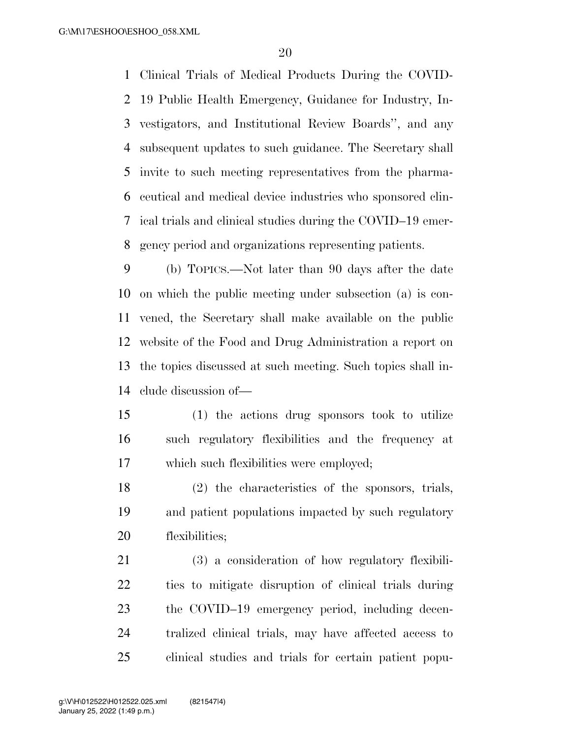Clinical Trials of Medical Products During the COVID- 19 Public Health Emergency, Guidance for Industry, In- vestigators, and Institutional Review Boards'', and any subsequent updates to such guidance. The Secretary shall invite to such meeting representatives from the pharma- ceutical and medical device industries who sponsored clin- ical trials and clinical studies during the COVID–19 emer-gency period and organizations representing patients.

 (b) TOPICS.—Not later than 90 days after the date on which the public meeting under subsection (a) is con- vened, the Secretary shall make available on the public website of the Food and Drug Administration a report on the topics discussed at such meeting. Such topics shall in-clude discussion of—

 (1) the actions drug sponsors took to utilize such regulatory flexibilities and the frequency at which such flexibilities were employed;

 (2) the characteristics of the sponsors, trials, and patient populations impacted by such regulatory flexibilities;

 (3) a consideration of how regulatory flexibili- ties to mitigate disruption of clinical trials during the COVID–19 emergency period, including decen- tralized clinical trials, may have affected access to clinical studies and trials for certain patient popu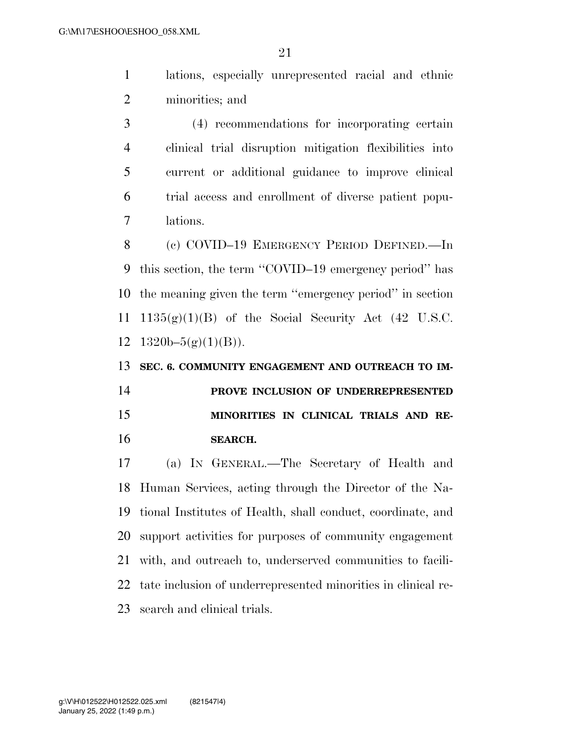lations, especially unrepresented racial and ethnic minorities; and

 (4) recommendations for incorporating certain clinical trial disruption mitigation flexibilities into current or additional guidance to improve clinical trial access and enrollment of diverse patient popu-lations.

 (c) COVID–19 EMERGENCY PERIOD DEFINED.—In this section, the term ''COVID–19 emergency period'' has the meaning given the term ''emergency period'' in section  $1135(g)(1)(B)$  of the Social Security Act (42 U.S.C.  $1320b-5(g)(1)(B)$ .

 **SEC. 6. COMMUNITY ENGAGEMENT AND OUTREACH TO IM- PROVE INCLUSION OF UNDERREPRESENTED MINORITIES IN CLINICAL TRIALS AND RE-SEARCH.** 

 (a) IN GENERAL.—The Secretary of Health and Human Services, acting through the Director of the Na- tional Institutes of Health, shall conduct, coordinate, and support activities for purposes of community engagement with, and outreach to, underserved communities to facili- tate inclusion of underrepresented minorities in clinical re-search and clinical trials.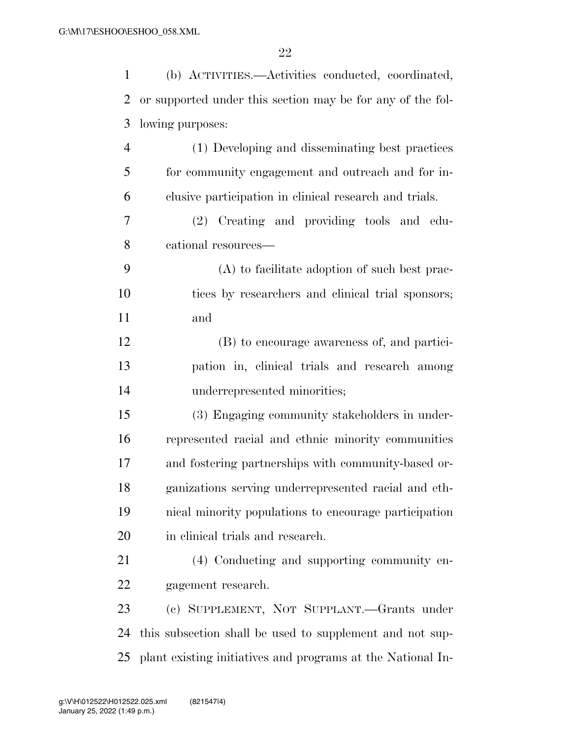| $\mathbf{1}$   | (b) ACTIVITIES.—Activities conducted, coordinated,          |
|----------------|-------------------------------------------------------------|
| $\overline{2}$ | or supported under this section may be for any of the fol-  |
| 3              | lowing purposes:                                            |
| $\overline{4}$ | (1) Developing and disseminating best practices             |
| 5              | for community engagement and outreach and for in-           |
| 6              | clusive participation in clinical research and trials.      |
| 7              | (2) Creating and providing tools and edu-                   |
| 8              | cational resources—                                         |
| 9              | (A) to facilitate adoption of such best prac-               |
| 10             | tices by researchers and clinical trial sponsors;           |
| 11             | and                                                         |
| 12             | (B) to encourage awareness of, and partici-                 |
| 13             | pation in, clinical trials and research among               |
| 14             | underrepresented minorities;                                |
| 15             | (3) Engaging community stakeholders in under-               |
| 16             | represented racial and ethnic minority communities          |
| 17             | and fostering partnerships with community-based or-         |
| 18             | ganizations serving underrepresented racial and eth-        |
| 19             | nical minority populations to encourage participation       |
| 20             | in clinical trials and research.                            |
| 21             | (4) Conducting and supporting community en-                 |
| 22             | gagement research.                                          |
| 23             | (c) SUPPLEMENT, NOT SUPPLANT.-Grants under                  |
| 24             | this subsection shall be used to supplement and not sup-    |
| 25             | plant existing initiatives and programs at the National In- |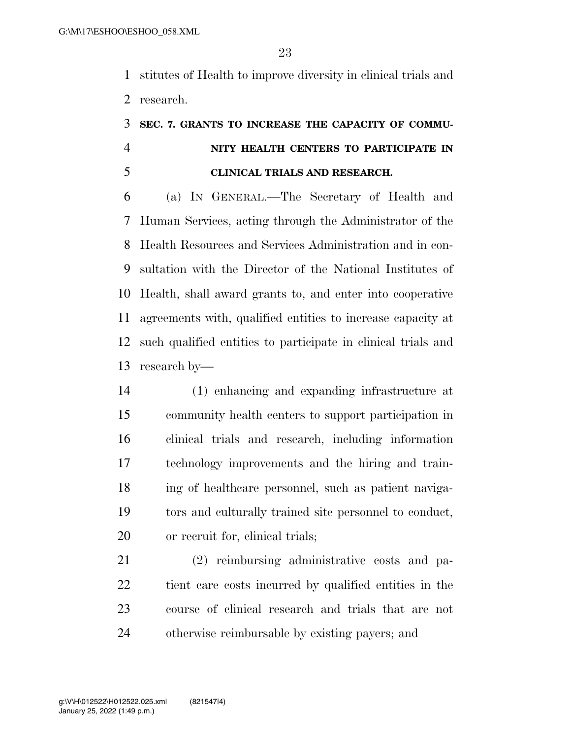stitutes of Health to improve diversity in clinical trials and research.

# **SEC. 7. GRANTS TO INCREASE THE CAPACITY OF COMMU- NITY HEALTH CENTERS TO PARTICIPATE IN CLINICAL TRIALS AND RESEARCH.**

 (a) IN GENERAL.—The Secretary of Health and Human Services, acting through the Administrator of the Health Resources and Services Administration and in con- sultation with the Director of the National Institutes of Health, shall award grants to, and enter into cooperative agreements with, qualified entities to increase capacity at such qualified entities to participate in clinical trials and research by—

 (1) enhancing and expanding infrastructure at community health centers to support participation in clinical trials and research, including information technology improvements and the hiring and train- ing of healthcare personnel, such as patient naviga- tors and culturally trained site personnel to conduct, or recruit for, clinical trials;

 (2) reimbursing administrative costs and pa- tient care costs incurred by qualified entities in the course of clinical research and trials that are not otherwise reimbursable by existing payers; and